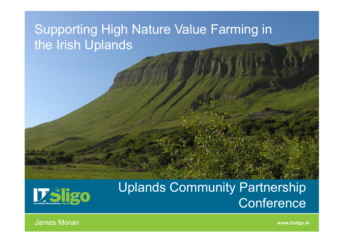# Supporting High Nature Value Farming in the Irish Uplands



### Uplands Community Partnership **Conference**

James Moran

www.itsligo.ie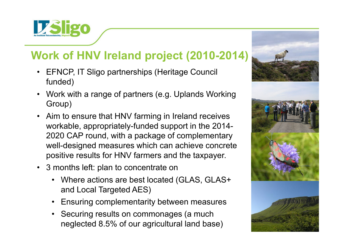

#### **Work of HNV Ireland project (2010-2014)**

- EFNCP, IT Sligo partnerships (Heritage Council funded)
- Work with a range of partners (e.g. Uplands Working Group)
- Aim to ensure that HNV farming in Ireland receives workable, appropriately-funded support in the 2014-2020 CAP round, with a package of complementary well-designed measures which can achieve concrete positive results for HNV farmers and the taxpayer.
- 3 months left: plan to concentrate on
	- Where actions are best located (GLAS, GLAS+ and Local Targeted AES)
	- Ensuring complementarity between measures
	- Securing results on commonages (a much neglected 8.5% of our agricultural land base)

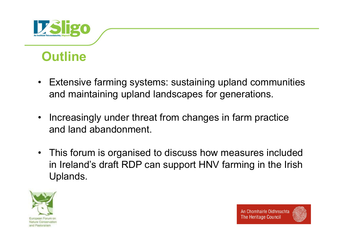

# **Outline**

- Extensive farming systems: sustaining upland communities and maintaining upland landscapes for generations.
- • Increasingly under threat from changes in farm practice and land abandonment.
- This forum is organised to discuss how measures included in Ireland's draft RDP can support HNV farming in the Irish Uplands.